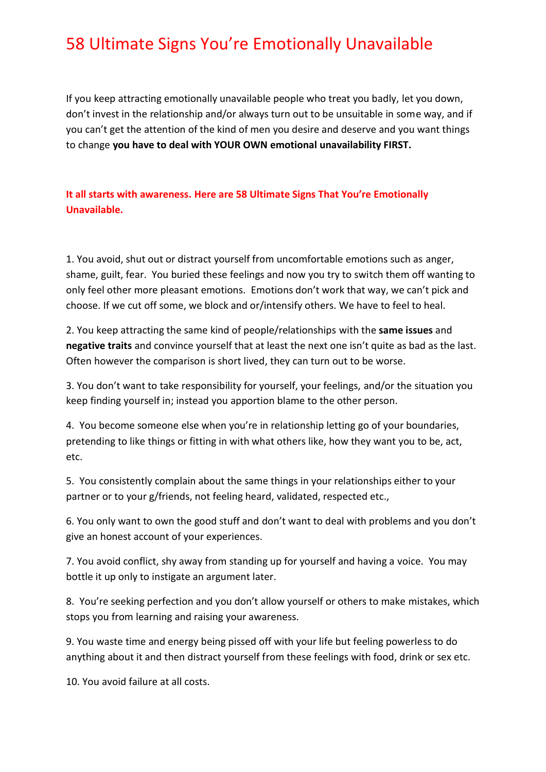If you keep attracting emotionally unavailable people who treat you badly, let you down, don't invest in the relationship and/or always turn out to be unsuitable in some way, and if you can't get the attention of the kind of men you desire and deserve and you want things to change **you have to deal with YOUR OWN emotional unavailability FIRST.**

**It all starts with awareness. Here are 58 Ultimate Signs That You're Emotionally Unavailable.**

1. You avoid, shut out or distract yourself from uncomfortable emotions such as anger, shame, guilt, fear. You buried these feelings and now you try to switch them off wanting to only feel other more pleasant emotions. Emotions don't work that way, we can't pick and choose. If we cut off some, we block and or/intensify others. We have to feel to heal.

2. You keep attracting the same kind of people/relationships with the **same issues** and **negative traits** and convince yourself that at least the next one isn't quite as bad as the last. Often however the comparison is short lived, they can turn out to be worse.

3. You don't want to take responsibility for yourself, your feelings, and/or the situation you keep finding yourself in; instead you apportion blame to the other person.

4. You become someone else when you're in relationship letting go of your boundaries, pretending to like things or fitting in with what others like, how they want you to be, act, etc.

5. You consistently complain about the same things in your relationships either to your partner or to your g/friends, not feeling heard, validated, respected etc.,

6. You only want to own the good stuff and don't want to deal with problems and you don't give an honest account of your experiences.

7. You avoid conflict, shy away from standing up for yourself and having a voice. You may bottle it up only to instigate an argument later.

8. You're seeking perfection and you don't allow yourself or others to make mistakes, which stops you from learning and raising your awareness.

9. You waste time and energy being pissed off with your life but feeling powerless to do anything about it and then distract yourself from these feelings with food, drink or sex etc.

10. You avoid failure at all costs.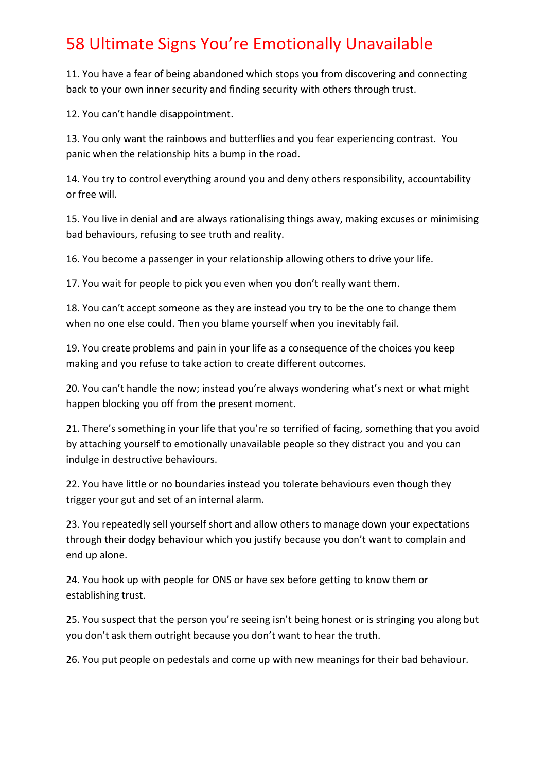11. You have a fear of being abandoned which stops you from discovering and connecting back to your own inner security and finding security with others through trust.

12. You can't handle disappointment.

13. You only want the rainbows and butterflies and you fear experiencing contrast. You panic when the relationship hits a bump in the road.

14. You try to control everything around you and deny others responsibility, accountability or free will.

15. You live in denial and are always rationalising things away, making excuses or minimising bad behaviours, refusing to see truth and reality.

16. You become a passenger in your relationship allowing others to drive your life.

17. You wait for people to pick you even when you don't really want them.

18. You can't accept someone as they are instead you try to be the one to change them when no one else could. Then you blame yourself when you inevitably fail.

19. You create problems and pain in your life as a consequence of the choices you keep making and you refuse to take action to create different outcomes.

20. You can't handle the now; instead you're always wondering what's next or what might happen blocking you off from the present moment.

21. There's something in your life that you're so terrified of facing, something that you avoid by attaching yourself to emotionally unavailable people so they distract you and you can indulge in destructive behaviours.

22. You have little or no boundaries instead you tolerate behaviours even though they trigger your gut and set of an internal alarm.

23. You repeatedly sell yourself short and allow others to manage down your expectations through their dodgy behaviour which you justify because you don't want to complain and end up alone.

24. You hook up with people for ONS or have sex before getting to know them or establishing trust.

25. You suspect that the person you're seeing isn't being honest or is stringing you along but you don't ask them outright because you don't want to hear the truth.

26. You put people on pedestals and come up with new meanings for their bad behaviour.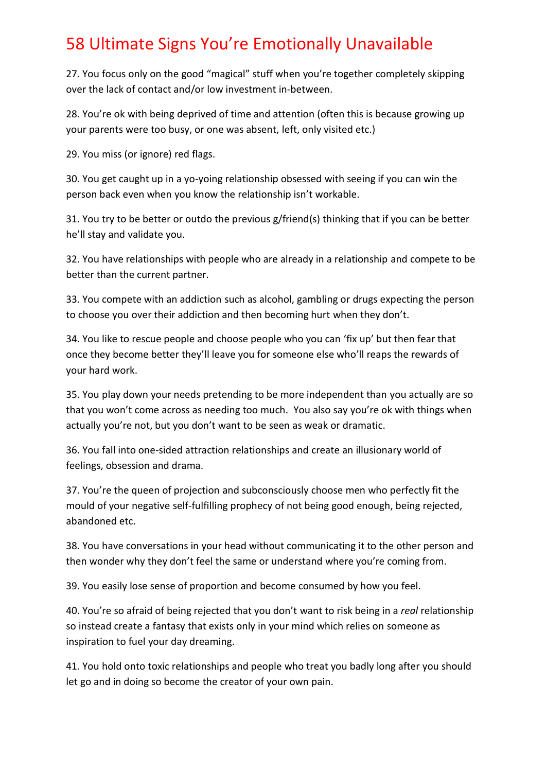27. You focus only on the good "magical" stuff when you're together completely skipping over the lack of contact and/or low investment in-between.

28. You're ok with being deprived of time and attention (often this is because growing up your parents were too busy, or one was absent, left, only visited etc.)

29. You miss (or ignore) red flags.

30. You get caught up in a yo-yoing relationship obsessed with seeing if you can win the person back even when you know the relationship isn't workable.

31. You try to be better or outdo the previous g/friend(s) thinking that if you can be better he'll stay and validate you.

32. You have relationships with people who are already in a relationship and compete to be better than the current partner.

33. You compete with an addiction such as alcohol, gambling or drugs expecting the person to choose you over their addiction and then becoming hurt when they don't.

34. You like to rescue people and choose people who you can 'fix up' but then fear that once they become better they'll leave you for someone else who'll reaps the rewards of your hard work.

35. You play down your needs pretending to be more independent than you actually are so that you won't come across as needing too much. You also say you're ok with things when actually you're not, but you don't want to be seen as weak or dramatic.

36. You fall into one-sided attraction relationships and create an illusionary world of feelings, obsession and drama.

37. You're the queen of projection and subconsciously choose men who perfectly fit the mould of your negative self-fulfilling prophecy of not being good enough, being rejected, abandoned etc.

38. You have conversations in your head without communicating it to the other person and then wonder why they don't feel the same or understand where you're coming from.

39. You easily lose sense of proportion and become consumed by how you feel.

40. You're so afraid of being rejected that you don't want to risk being in a *real* relationship so instead create a fantasy that exists only in your mind which relies on someone as inspiration to fuel your day dreaming.

41. You hold onto toxic relationships and people who treat you badly long after you should let go and in doing so become the creator of your own pain.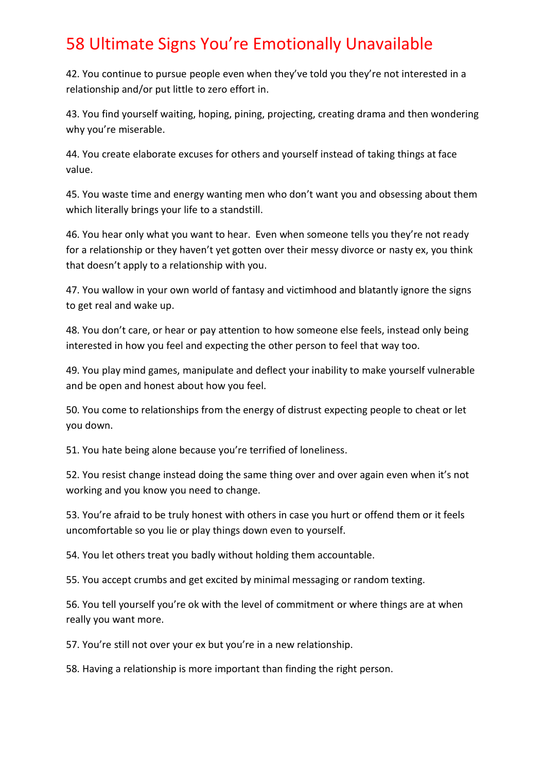42. You continue to pursue people even when they've told you they're not interested in a relationship and/or put little to zero effort in.

43. You find yourself waiting, hoping, pining, projecting, creating drama and then wondering why you're miserable.

44. You create elaborate excuses for others and yourself instead of taking things at face value.

45. You waste time and energy wanting men who don't want you and obsessing about them which literally brings your life to a standstill.

46. You hear only what you want to hear. Even when someone tells you they're not ready for a relationship or they haven't yet gotten over their messy divorce or nasty ex, you think that doesn't apply to a relationship with you.

47. You wallow in your own world of fantasy and victimhood and blatantly ignore the signs to get real and wake up.

48. You don't care, or hear or pay attention to how someone else feels, instead only being interested in how you feel and expecting the other person to feel that way too.

49. You play mind games, manipulate and deflect your inability to make yourself vulnerable and be open and honest about how you feel.

50. You come to relationships from the energy of distrust expecting people to cheat or let you down.

51. You hate being alone because you're terrified of loneliness.

52. You resist change instead doing the same thing over and over again even when it's not working and you know you need to change.

53. You're afraid to be truly honest with others in case you hurt or offend them or it feels uncomfortable so you lie or play things down even to yourself.

54. You let others treat you badly without holding them accountable.

55. You accept crumbs and get excited by minimal messaging or random texting.

56. You tell yourself you're ok with the level of commitment or where things are at when really you want more.

57. You're still not over your ex but you're in a new relationship.

58. Having a relationship is more important than finding the right person.